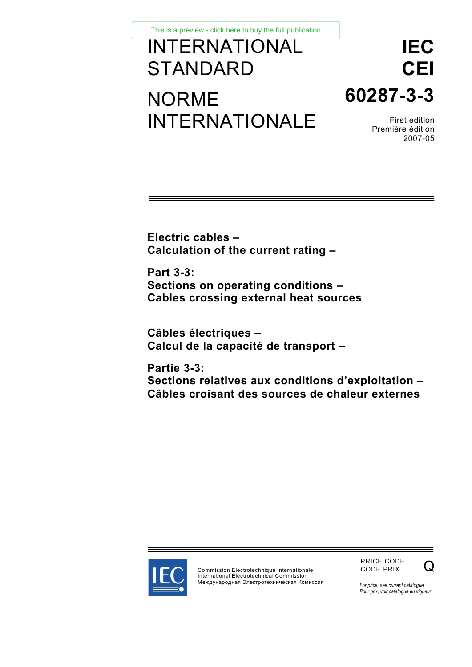[This is a preview - click here to buy the full publication](https://webstore.iec.ch/publication/1280&preview=1)

# INTERNATIONAL **STANDARD** NORME INTERNATIONALE

**IEC CEI 60287-3-3**

> First edition Première édition 2007-05

**Electric cables – Calculation of the current rating –** 

**Part 3-3: Sections on operating conditions – Cables crossing external heat sources** 

**Câbles électriques – Calcul de la capacité de transport –** 

**Partie 3-3: Sections relatives aux conditions d'exploitation – Câbles croisant des sources de chaleur externes** 



Commission Electrotechnique Internationale CODE PRIX Q International Electrotechnical Commission Международная Электротехническая Комиссия



*For price, see current catalogue Pour prix, voir catalogue en vigueur*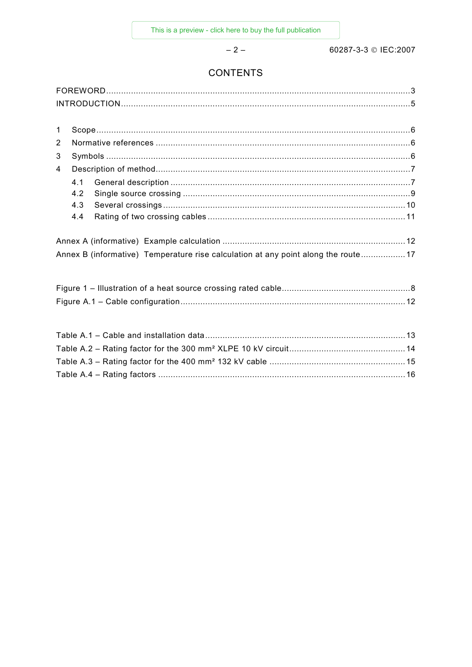$-2-$ 

60287-3-3 © IEC:2007

# **CONTENTS**

| $\mathbf 1$                                                                       |     |  |  |  |  |
|-----------------------------------------------------------------------------------|-----|--|--|--|--|
| $\overline{2}$                                                                    |     |  |  |  |  |
| 3                                                                                 |     |  |  |  |  |
| $\overline{4}$                                                                    |     |  |  |  |  |
|                                                                                   | 4.1 |  |  |  |  |
|                                                                                   | 4.2 |  |  |  |  |
|                                                                                   | 4.3 |  |  |  |  |
|                                                                                   | 4.4 |  |  |  |  |
|                                                                                   |     |  |  |  |  |
| Annex B (informative) Temperature rise calculation at any point along the route17 |     |  |  |  |  |
|                                                                                   |     |  |  |  |  |
|                                                                                   |     |  |  |  |  |
|                                                                                   |     |  |  |  |  |
|                                                                                   |     |  |  |  |  |
|                                                                                   |     |  |  |  |  |
|                                                                                   |     |  |  |  |  |
|                                                                                   |     |  |  |  |  |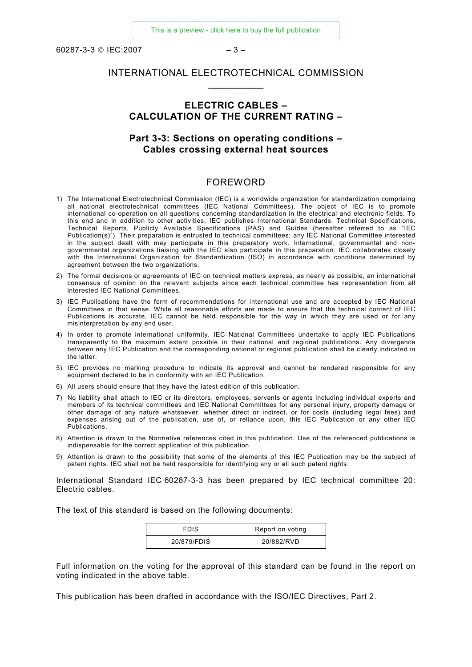<span id="page-2-0"></span> $60287 - 3 - 3$  © IFC:  $2007$  – 3 –

#### INTERNATIONAL ELECTROTECHNICAL COMMISSION  $\frac{1}{2}$  ,  $\frac{1}{2}$  ,  $\frac{1}{2}$  ,  $\frac{1}{2}$  ,  $\frac{1}{2}$

# **ELECTRIC CABLES – CALCULATION OF THE CURRENT RATING –**

## **Part 3-3: Sections on operating conditions – Cables crossing external heat sources**

# FOREWORD

- 1) The International Electrotechnical Commission (IEC) is a worldwide organization for standardization comprising all national electrotechnical committees (IEC National Committees). The object of IEC is to promote international co-operation on all questions concerning standardization in the electrical and electronic fields. To this end and in addition to other activities, IEC publishes International Standards, Technical Specifications, Technical Reports, Publicly Available Specifications (PAS) and Guides (hereafter referred to as "IEC Publication(s)"). Their preparation is entrusted to technical committees; any IEC National Committee interested in the subject dealt with may participate in this preparatory work. International, governmental and nongovernmental organizations liaising with the IEC also participate in this preparation. IEC collaborates closely with the International Organization for Standardization (ISO) in accordance with conditions determined by agreement between the two organizations.
- 2) The formal decisions or agreements of IEC on technical matters express, as nearly as possible, an international consensus of opinion on the relevant subjects since each technical committee has representation from all interested IEC National Committees.
- 3) IEC Publications have the form of recommendations for international use and are accepted by IEC National Committees in that sense. While all reasonable efforts are made to ensure that the technical content of IEC Publications is accurate, IEC cannot be held responsible for the way in which they are used or for any misinterpretation by any end user.
- 4) In order to promote international uniformity, IEC National Committees undertake to apply IEC Publications transparently to the maximum extent possible in their national and regional publications. Any divergence between any IEC Publication and the corresponding national or regional publication shall be clearly indicated in the latter.
- 5) IEC provides no marking procedure to indicate its approval and cannot be rendered responsible for any equipment declared to be in conformity with an IEC Publication.
- 6) All users should ensure that they have the latest edition of this publication.
- 7) No liability shall attach to IEC or its directors, employees, servants or agents including individual experts and members of its technical committees and IEC National Committees for any personal injury, property damage or other damage of any nature whatsoever, whether direct or indirect, or for costs (including legal fees) and expenses arising out of the publication, use of, or reliance upon, this IEC Publication or any other IEC Publications.
- 8) Attention is drawn to the Normative references cited in this publication. Use of the referenced publications is indispensable for the correct application of this publication.
- 9) Attention is drawn to the possibility that some of the elements of this IEC Publication may be the subject of patent rights. IEC shall not be held responsible for identifying any or all such patent rights.

International Standard IEC 60287-3-3 has been prepared by IEC technical committee 20: Electric cables.

The text of this standard is based on the following documents:

| <b>FDIS</b> | Report on voting |
|-------------|------------------|
| 20/879/FDIS | 20/882/RVD       |

Full information on the voting for the approval of this standard can be found in the report on voting indicated in the above table.

This publication has been drafted in accordance with the ISO/IEC Directives, Part 2.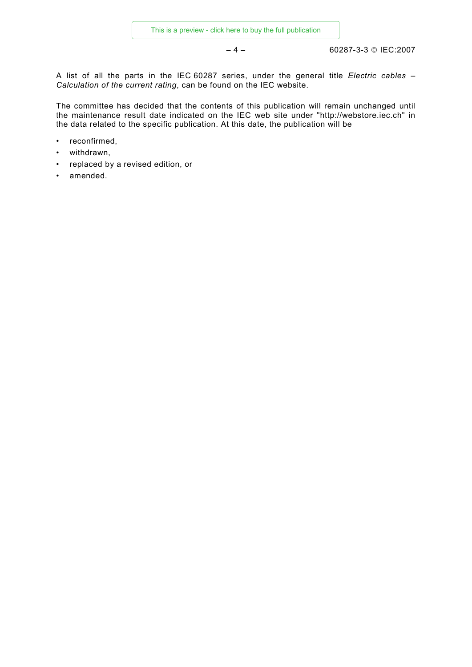– 4 – 60287-3-3 © IEC:2007

A list of all the parts in the IEC 60287 series, under the general title *Electric cables – Calculation of the current rating*, can be found on the IEC website.

The committee has decided that the contents of this publication will remain unchanged until the maintenance result date indicated on the IEC web site under "http://webstore.iec.ch" in the data related to the specific publication. At this date, the publication will be

- reconfirmed,
- withdrawn,
- replaced by a revised edition, or
- amended.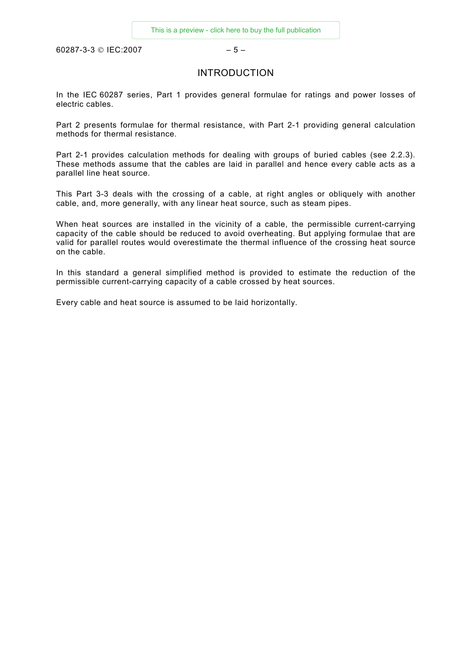<span id="page-4-0"></span>60287-3-3 © IEC:2007 – 5 –

# INTRODUCTION

In the IEC 60287 series, Part 1 provides general formulae for ratings and power losses of electric cables.

Part 2 presents formulae for thermal resistance, with Part 2-1 providing general calculation methods for thermal resistance.

Part 2-1 provides calculation methods for dealing with groups of buried cables (see 2.2.3). These methods assume that the cables are laid in parallel and hence every cable acts as a parallel line heat source.

This Part 3-3 deals with the crossing of a cable, at right angles or obliquely with another cable, and, more generally, with any linear heat source, such as steam pipes.

When heat sources are installed in the vicinity of a cable, the permissible current-carrying capacity of the cable should be reduced to avoid overheating. But applying formulae that are valid for parallel routes would overestimate the thermal influence of the crossing heat source on the cable.

In this standard a general simplified method is provided to estimate the reduction of the permissible current-carrying capacity of a cable crossed by heat sources.

Every cable and heat source is assumed to be laid horizontally.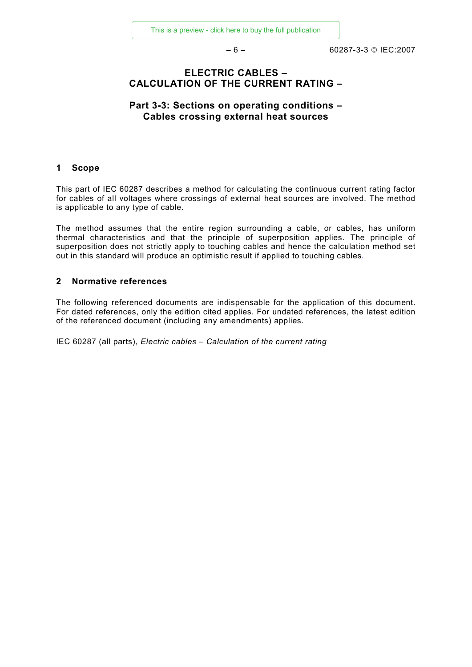– 6 – 60287-3-3 © IEC:2007

# <span id="page-5-0"></span>**ELECTRIC CABLES – CALCULATION OF THE CURRENT RATING –**

# **Part 3-3: Sections on operating conditions – Cables crossing external heat sources**

#### **1 Scope**

This part of IEC 60287 describes a method for calculating the continuous current rating factor for cables of all voltages where crossings of external heat sources are involved. The method is applicable to any type of cable.

The method assumes that the entire region surrounding a cable, or cables, has uniform thermal characteristics and that the principle of superposition applies. The principle of superposition does not strictly apply to touching cables and hence the calculation method set out in this standard will produce an optimistic result if applied to touching cables.

#### **2 Normative references**

The following referenced documents are indispensable for the application of this document. For dated references, only the edition cited applies. For undated references, the latest edition of the referenced document (including any amendments) applies.

IEC 60287 (all parts), *Electric cables – Calculation of the current rating*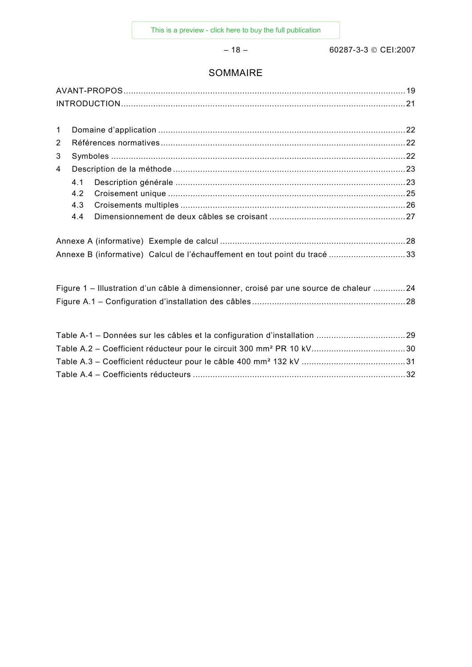– 18 – 60287-3-3 © CEI:2007

# SOMMAIRE

| $\mathbf 1$                                                                            |     |  |  |  |  |  |
|----------------------------------------------------------------------------------------|-----|--|--|--|--|--|
| $\overline{2}$                                                                         |     |  |  |  |  |  |
| 3                                                                                      |     |  |  |  |  |  |
| 4                                                                                      |     |  |  |  |  |  |
|                                                                                        | 4.1 |  |  |  |  |  |
|                                                                                        | 4.2 |  |  |  |  |  |
|                                                                                        | 4.3 |  |  |  |  |  |
|                                                                                        | 4.4 |  |  |  |  |  |
|                                                                                        |     |  |  |  |  |  |
| Annexe B (informative) Calcul de l'échauffement en tout point du tracé 33              |     |  |  |  |  |  |
|                                                                                        |     |  |  |  |  |  |
| Figure 1 – Illustration d'un câble à dimensionner, croisé par une source de chaleur 24 |     |  |  |  |  |  |
|                                                                                        |     |  |  |  |  |  |
|                                                                                        |     |  |  |  |  |  |
|                                                                                        |     |  |  |  |  |  |
|                                                                                        |     |  |  |  |  |  |
|                                                                                        |     |  |  |  |  |  |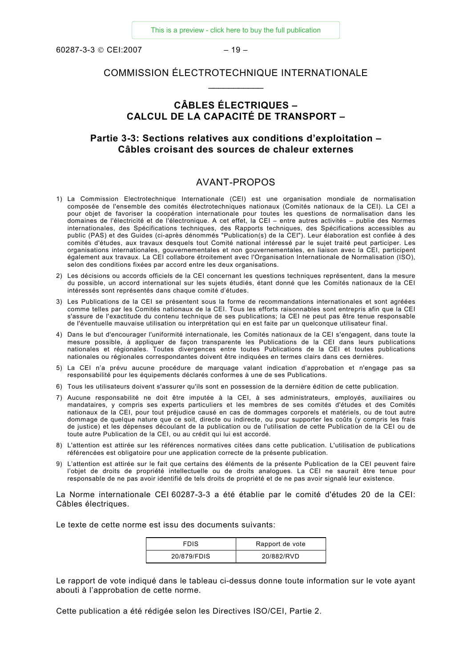<span id="page-7-0"></span> $60287 - 3 - 3 \circ \text{CE}$  CEI:2007 – 19 –

# COMMISSION ÉLECTROTECHNIQUE INTERNATIONALE  $\frac{1}{2}$  ,  $\frac{1}{2}$  ,  $\frac{1}{2}$  ,  $\frac{1}{2}$  ,  $\frac{1}{2}$

# **CÂBLES ÉLECTRIQUES – CALCUL DE LA CAPACITÉ DE TRANSPORT –**

# **Partie 3-3: Sections relatives aux conditions d'exploitation – Câbles croisant des sources de chaleur externes**

# AVANT-PROPOS

- 1) La Commission Electrotechnique Internationale (CEI) est une organisation mondiale de normalisation composée de l'ensemble des comités électrotechniques nationaux (Comités nationaux de la CEI). La CEI a pour objet de favoriser la coopération internationale pour toutes les questions de normalisation dans les domaines de l'électricité et de l'électronique. A cet effet, la CEI – entre autres activités – publie des Normes internationales, des Spécifications techniques, des Rapports techniques, des Spécifications accessibles au public (PAS) et des Guides (ci-après dénommés "Publication(s) de la CEI"). Leur élaboration est confiée à des comités d'études, aux travaux desquels tout Comité national intéressé par le sujet traité peut participer. Les organisations internationales, gouvernementales et non gouvernementales, en liaison avec la CEI, participent également aux travaux. La CEI collabore étroitement avec l'Organisation Internationale de Normalisation (ISO), selon des conditions fixées par accord entre les deux organisations.
- 2) Les décisions ou accords officiels de la CEI concernant les questions techniques représentent, dans la mesure du possible, un accord international sur les sujets étudiés, étant donné que les Comités nationaux de la CEI intéressés sont représentés dans chaque comité d'études.
- 3) Les Publications de la CEI se présentent sous la forme de recommandations internationales et sont agréées comme telles par les Comités nationaux de la CEI. Tous les efforts raisonnables sont entrepris afin que la CEI s'assure de l'exactitude du contenu technique de ses publications; la CEI ne peut pas être tenue responsable de l'éventuelle mauvaise utilisation ou interprétation qui en est faite par un quelconque utilisateur final.
- 4) Dans le but d'encourager l'uniformité internationale, les Comités nationaux de la CEI s'engagent, dans toute la mesure possible, à appliquer de façon transparente les Publications de la CEI dans leurs publications nationales et régionales. Toutes divergences entre toutes Publications de la CEI et toutes publications nationales ou régionales correspondantes doivent être indiquées en termes clairs dans ces dernières.
- 5) La CEI n'a prévu aucune procédure de marquage valant indication d'approbation et n'engage pas sa responsabilité pour les équipements déclarés conformes à une de ses Publications.
- 6) Tous les utilisateurs doivent s'assurer qu'ils sont en possession de la dernière édition de cette publication.
- 7) Aucune responsabilité ne doit être imputée à la CEI, à ses administrateurs, employés, auxiliaires ou mandataires, y compris ses experts particuliers et les membres de ses comités d'études et des Comités nationaux de la CEI, pour tout préjudice causé en cas de dommages corporels et matériels, ou de tout autre dommage de quelque nature que ce soit, directe ou indirecte, ou pour supporter les coûts (y compris les frais de justice) et les dépenses découlant de la publication ou de l'utilisation de cette Publication de la CEI ou de toute autre Publication de la CEI, ou au crédit qui lui est accordé.
- 8) L'attention est attirée sur les références normatives citées dans cette publication. L'utilisation de publications référencées est obligatoire pour une application correcte de la présente publication.
- 9) L'attention est attirée sur le fait que certains des éléments de la présente Publication de la CEI peuvent faire l'objet de droits de propriété intellectuelle ou de droits analogues. La CEI ne saurait être tenue pour responsable de ne pas avoir identifié de tels droits de propriété et de ne pas avoir signalé leur existence.

La Norme internationale CEI 60287-3-3 a été établie par le comité d'études 20 de la CEI: Câbles électriques.

Le texte de cette norme est issu des documents suivants:

| <b>FDIS</b> | Rapport de vote |
|-------------|-----------------|
| 20/879/FDIS | 20/882/RVD      |

Le rapport de vote indiqué dans le tableau ci-dessus donne toute information sur le vote ayant abouti à l'approbation de cette norme.

Cette publication a été rédigée selon les Directives ISO/CEI, Partie 2.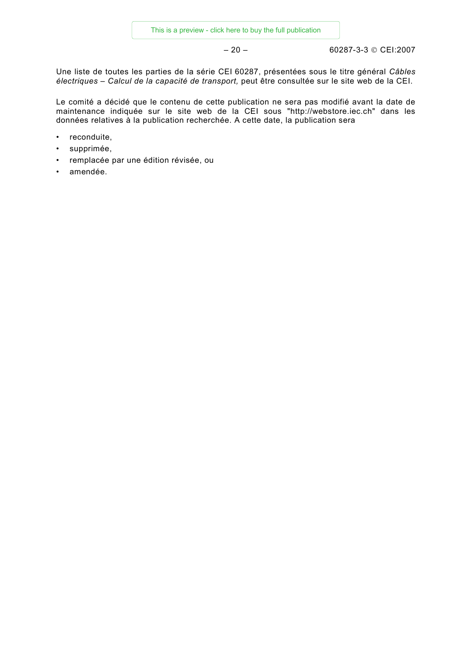– 20 – 60287-3-3 © CEI:2007

Une liste de toutes les parties de la série CEI 60287, présentées sous le titre général *Câbles électriques – Calcul de la capacité de transport,* peut être consultée sur le site web de la CEI.

Le comité a décidé que le contenu de cette publication ne sera pas modifié avant la date de maintenance indiquée sur le site web de la CEI sous "http://webstore.iec.ch" dans les données relatives à la publication recherchée. A cette date, la publication sera

- reconduite,
- supprimée,
- remplacée par une édition révisée, ou
- amendée.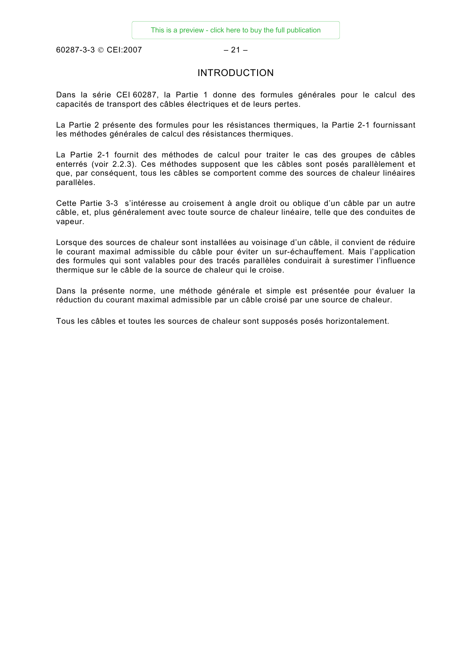<span id="page-9-0"></span> $60287 - 3 - 3 \odot \text{CF}$  : 2007

# INTRODUCTION

Dans la série CEI 60287, la Partie 1 donne des formules générales pour le calcul des capacités de transport des câbles électriques et de leurs pertes.

La Partie 2 présente des formules pour les résistances thermiques, la Partie 2-1 fournissant les méthodes générales de calcul des résistances thermiques.

La Partie 2-1 fournit des méthodes de calcul pour traiter le cas des groupes de câbles enterrés (voir 2.2.3). Ces méthodes supposent que les câbles sont posés parallèlement et que, par conséquent, tous les câbles se comportent comme des sources de chaleur linéaires parallèles.

Cette Partie 3-3 s'intéresse au croisement à angle droit ou oblique d'un câble par un autre câble, et, plus généralement avec toute source de chaleur linéaire, telle que des conduites de vapeur.

Lorsque des sources de chaleur sont installées au voisinage d'un câble, il convient de réduire le courant maximal admissible du câble pour éviter un sur-échauffement. Mais l'application des formules qui sont valables pour des tracés parallèles conduirait à surestimer l'influence thermique sur le câble de la source de chaleur qui le croise.

Dans la présente norme, une méthode générale et simple est présentée pour évaluer la réduction du courant maximal admissible par un câble croisé par une source de chaleur.

Tous les câbles et toutes les sources de chaleur sont supposés posés horizontalement.